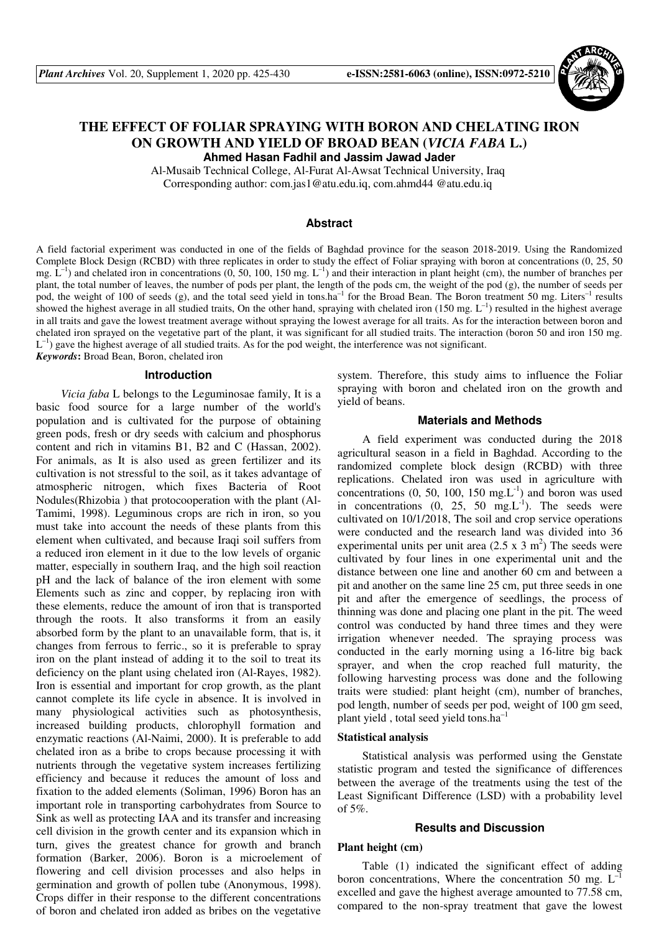

# **THE EFFECT OF FOLIAR SPRAYING WITH BORON AND CHELATING IRON ON GROWTH AND YIELD OF BROAD BEAN (***VICIA FABA* **L.) Ahmed Hasan Fadhil and Jassim Jawad Jader**

Al-Musaib Technical College, Al-Furat Al-Awsat Technical University, Iraq

Corresponding author: com.jas1@atu.edu.iq, com.ahmd44 @atu.edu.iq

## **Abstract**

A field factorial experiment was conducted in one of the fields of Baghdad province for the season 2018-2019. Using the Randomized Complete Block Design (RCBD) with three replicates in order to study the effect of Foliar spraying with boron at concentrations (0, 25, 50 mg.  $\hat{L}^{-1}$ ) and chelated iron in concentrations (0, 50, 100, 150 mg.  $L^{-1}$ ) and their interaction in plant height (cm), the number of branches per plant, the total number of leaves, the number of pods per plant, the length of the pods cm, the weight of the pod (g), the number of seeds per pod, the weight of 100 of seeds (g), and the total seed yield in tons.ha<sup>-1</sup> for the Broad Bean. The Boron treatment 50 mg. Liters<sup>-1</sup> results showed the highest average in all studied traits, On the other hand, spraying with chelated iron (150 mg.  $L^{-1}$ ) resulted in the highest average in all traits and gave the lowest treatment average without spraying the lowest average for all traits. As for the interaction between boron and chelated iron sprayed on the vegetative part of the plant, it was significant for all studied traits. The interaction (boron 50 and iron 150 mg.  $L^{-1}$ ) gave the highest average of all studied traits. As for the pod weight, the interference was not significant. *Keywords***:** Broad Bean, Boron, chelated iron

#### **Introduction**

*Vicia faba* L belongs to the Leguminosae family, It is a basic food source for a large number of the world's population and is cultivated for the purpose of obtaining green pods, fresh or dry seeds with calcium and phosphorus content and rich in vitamins B1, B2 and C (Hassan, 2002). For animals, as It is also used as green fertilizer and its cultivation is not stressful to the soil, as it takes advantage of atmospheric nitrogen, which fixes Bacteria of Root Nodules(Rhizobia ) that protocooperation with the plant (Al-Tamimi, 1998). Leguminous crops are rich in iron, so you must take into account the needs of these plants from this element when cultivated, and because Iraqi soil suffers from a reduced iron element in it due to the low levels of organic matter, especially in southern Iraq, and the high soil reaction pH and the lack of balance of the iron element with some Elements such as zinc and copper, by replacing iron with these elements, reduce the amount of iron that is transported through the roots. It also transforms it from an easily absorbed form by the plant to an unavailable form, that is, it changes from ferrous to ferric., so it is preferable to spray iron on the plant instead of adding it to the soil to treat its deficiency on the plant using chelated iron (Al-Rayes, 1982). Iron is essential and important for crop growth, as the plant cannot complete its life cycle in absence. It is involved in many physiological activities such as photosynthesis, increased building products, chlorophyll formation and enzymatic reactions (Al-Naimi, 2000). It is preferable to add chelated iron as a bribe to crops because processing it with nutrients through the vegetative system increases fertilizing efficiency and because it reduces the amount of loss and fixation to the added elements (Soliman, 1996) Boron has an important role in transporting carbohydrates from Source to Sink as well as protecting IAA and its transfer and increasing cell division in the growth center and its expansion which in turn, gives the greatest chance for growth and branch formation (Barker, 2006). Boron is a microelement of flowering and cell division processes and also helps in germination and growth of pollen tube (Anonymous, 1998). Crops differ in their response to the different concentrations of boron and chelated iron added as bribes on the vegetative

system. Therefore, this study aims to influence the Foliar spraying with boron and chelated iron on the growth and yield of beans.

#### **Materials and Methods**

A field experiment was conducted during the 2018 agricultural season in a field in Baghdad. According to the randomized complete block design (RCBD) with three replications. Chelated iron was used in agriculture with concentrations  $(0, 50, 100, 150 \text{ mg.L}^{-1})$  and boron was used in concentrations  $(0, 25, 50 \text{ mg.L}^{-1})$ . The seeds were cultivated on 10/1/2018, The soil and crop service operations were conducted and the research land was divided into 36 experimental units per unit area  $(2.5 \times 3 \text{ m}^2)$  The seeds were cultivated by four lines in one experimental unit and the distance between one line and another 60 cm and between a pit and another on the same line 25 cm, put three seeds in one pit and after the emergence of seedlings, the process of thinning was done and placing one plant in the pit. The weed control was conducted by hand three times and they were irrigation whenever needed. The spraying process was conducted in the early morning using a 16-litre big back sprayer, and when the crop reached full maturity, the following harvesting process was done and the following traits were studied: plant height (cm), number of branches, pod length, number of seeds per pod, weight of 100 gm seed, plant yield , total seed yield tons.ha–1

## **Statistical analysis**

Statistical analysis was performed using the Genstate statistic program and tested the significance of differences between the average of the treatments using the test of the Least Significant Difference (LSD) with a probability level of 5%.

#### **Results and Discussion**

## **Plant height (cm)**

Table (1) indicated the significant effect of adding boron concentrations, Where the concentration 50 mg.  $L^{-1}$ excelled and gave the highest average amounted to 77.58 cm, compared to the non-spray treatment that gave the lowest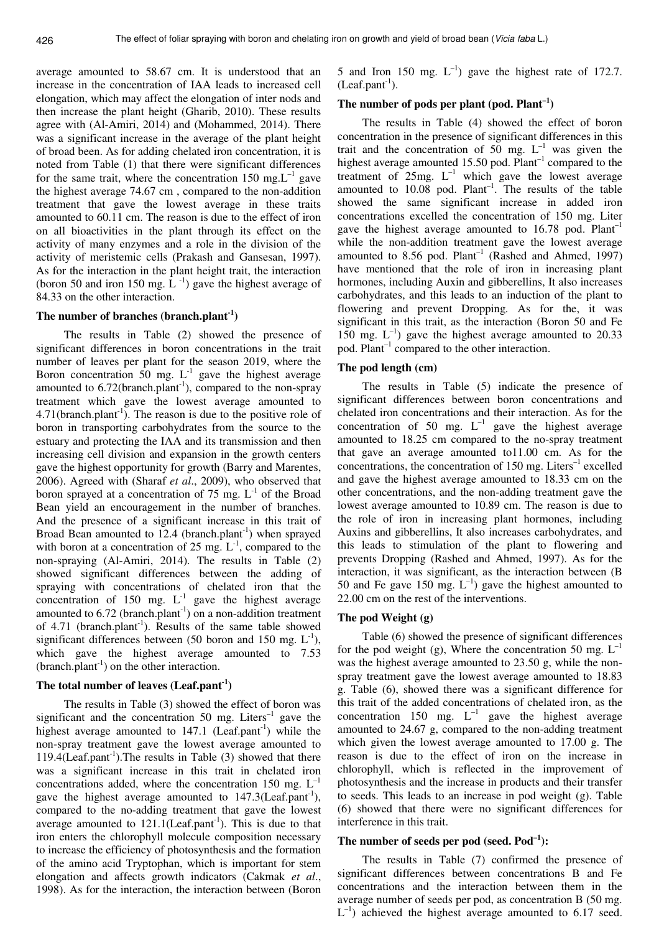average amounted to 58.67 cm. It is understood that an increase in the concentration of IAA leads to increased cell elongation, which may affect the elongation of inter nods and then increase the plant height (Gharib, 2010). These results agree with (Al-Amiri, 2014) and (Mohammed, 2014). There was a significant increase in the average of the plant height of broad been. As for adding chelated iron concentration, it is noted from Table (1) that there were significant differences for the same trait, where the concentration 150 mg. $L^{-1}$  gave the highest average 74.67 cm , compared to the non-addition treatment that gave the lowest average in these traits amounted to 60.11 cm. The reason is due to the effect of iron on all bioactivities in the plant through its effect on the activity of many enzymes and a role in the division of the activity of meristemic cells (Prakash and Gansesan, 1997). As for the interaction in the plant height trait, the interaction (boron 50 and iron 150 mg.  $L^{-1}$ ) gave the highest average of 84.33 on the other interaction.

#### **The number of branches (branch.plant-1)**

 The results in Table (2) showed the presence of significant differences in boron concentrations in the trait number of leaves per plant for the season 2019, where the Boron concentration 50 mg.  $L^{-1}$  gave the highest average amounted to  $6.72$ (branch.plant<sup>-1</sup>), compared to the non-spray treatment which gave the lowest average amounted to  $4.71$ (branch.plant<sup>-1</sup>). The reason is due to the positive role of boron in transporting carbohydrates from the source to the estuary and protecting the IAA and its transmission and then increasing cell division and expansion in the growth centers gave the highest opportunity for growth (Barry and Marentes, 2006). Agreed with (Sharaf *et al*., 2009), who observed that boron sprayed at a concentration of 75 mg.  $L^{-1}$  of the Broad Bean yield an encouragement in the number of branches. And the presence of a significant increase in this trait of Broad Bean amounted to 12.4 (branch.plant<sup>-1</sup>) when sprayed with boron at a concentration of 25 mg.  $L^{-1}$ , compared to the non-spraying (Al-Amiri, 2014). The results in Table (2) showed significant differences between the adding of spraying with concentrations of chelated iron that the concentration of 150 mg.  $L^{-1}$  gave the highest average amounted to  $6.72$  (branch.plant<sup>-1</sup>) on a non-addition treatment of  $4.71$  (branch.plant<sup>-1</sup>). Results of the same table showed significant differences between (50 boron and 150 mg.  $L^{-1}$ ), which gave the highest average amounted to 7.53  $(branch.plant<sup>-1</sup>)$  on the other interaction.

#### **The total number of leaves (Leaf.pant-1)**

 The results in Table (3) showed the effect of boron was significant and the concentration 50 mg. Liters<sup>-1</sup> gave the highest average amounted to  $147.1$  (Leaf.pant<sup>-1</sup>) while the non-spray treatment gave the lowest average amounted to  $119.4$ (Leaf.pant<sup>-1</sup>). The results in Table (3) showed that there was a significant increase in this trait in chelated iron concentrations added, where the concentration 150 mg.  $L^{-1}$ gave the highest average amounted to  $147.3$ (Leaf.pant<sup>-1</sup>), compared to the no-adding treatment that gave the lowest average amounted to  $121.1(Leaf.path<sup>-1</sup>)$ . This is due to that iron enters the chlorophyll molecule composition necessary to increase the efficiency of photosynthesis and the formation of the amino acid Tryptophan, which is important for stem elongation and affects growth indicators (Cakmak *et al*., 1998). As for the interaction, the interaction between (Boron

5 and Iron 150 mg.  $L^{-1}$  gave the highest rate of 172.7.  $(Leaf.path^{-1}).$ 

### The number of pods per plant (pod.  $Plant^{-1}$ )

The results in Table (4) showed the effect of boron concentration in the presence of significant differences in this trait and the concentration of 50 mg.  $L^{-1}$  was given the highest average amounted 15.50 pod.  $Plant<sup>-1</sup>$  compared to the treatment of  $25mg$ .  $L^{-1}$  which gave the lowest average amounted to  $10.08$  pod. Plant<sup>-1</sup>. The results of the table showed the same significant increase in added iron concentrations excelled the concentration of 150 mg. Liter gave the highest average amounted to  $16.78$  pod. Plant<sup>-1</sup> while the non-addition treatment gave the lowest average amounted to 8.56 pod.  $Plant^{-1}$  (Rashed and Ahmed, 1997) have mentioned that the role of iron in increasing plant hormones, including Auxin and gibberellins, It also increases carbohydrates, and this leads to an induction of the plant to flowering and prevent Dropping. As for the, it was significant in this trait, as the interaction (Boron 50 and Fe 150 mg.  $L^{-1}$ ) gave the highest average amounted to 20.33 pod.  $Plant^{-1}$  compared to the other interaction.

#### **The pod length (cm)**

The results in Table (5) indicate the presence of significant differences between boron concentrations and chelated iron concentrations and their interaction. As for the concentration of 50 mg.  $L^{-1}$  gave the highest average amounted to 18.25 cm compared to the no-spray treatment that gave an average amounted to11.00 cm. As for the concentrations, the concentration of 150 mg. Liters<sup>-1</sup> excelled and gave the highest average amounted to 18.33 cm on the other concentrations, and the non-adding treatment gave the lowest average amounted to 10.89 cm. The reason is due to the role of iron in increasing plant hormones, including Auxins and gibberellins, It also increases carbohydrates, and this leads to stimulation of the plant to flowering and prevents Dropping (Rashed and Ahmed, 1997). As for the interaction, it was significant, as the interaction between (B 50 and Fe gave 150 mg.  $L^{-1}$ ) gave the highest amounted to 22.00 cm on the rest of the interventions.

## **The pod Weight (g)**

Table (6) showed the presence of significant differences for the pod weight (g). Where the concentration 50 mg,  $L^{-1}$ was the highest average amounted to 23.50 g, while the nonspray treatment gave the lowest average amounted to 18.83 g. Table (6), showed there was a significant difference for this trait of the added concentrations of chelated iron, as the concentration 150 mg.  $L^{-1}$  gave the highest average amounted to 24.67 g, compared to the non-adding treatment which given the lowest average amounted to 17.00 g. The reason is due to the effect of iron on the increase in chlorophyll, which is reflected in the improvement of photosynthesis and the increase in products and their transfer to seeds. This leads to an increase in pod weight (g). Table (6) showed that there were no significant differences for interference in this trait.

## **The number of seeds per pod (seed. Pod–1):**

The results in Table (7) confirmed the presence of significant differences between concentrations B and Fe concentrations and the interaction between them in the average number of seeds per pod, as concentration B (50 mg.  $L^{-1}$ ) achieved the highest average amounted to 6.17 seed.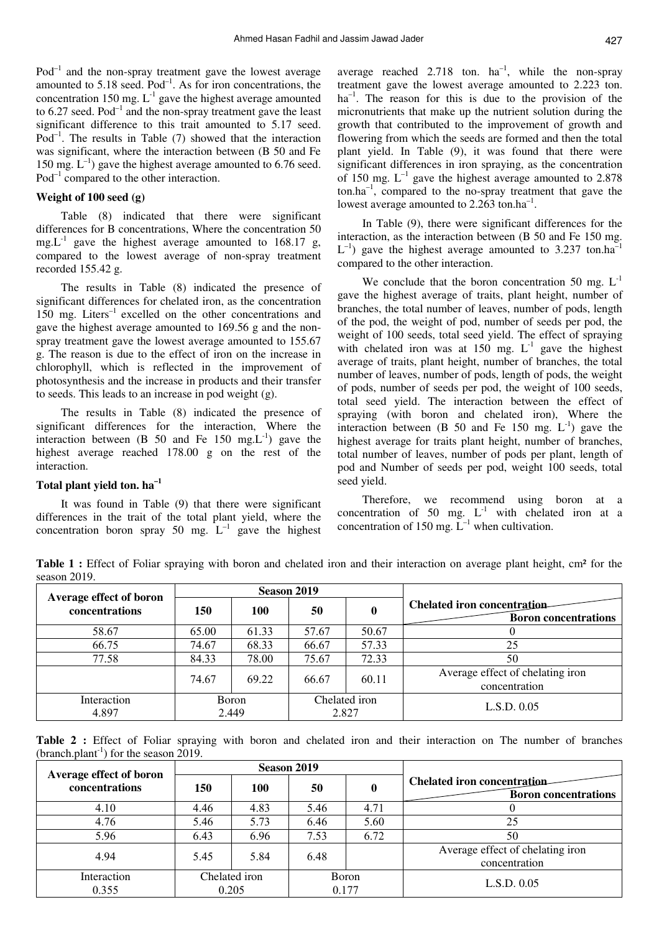$Pod^{-1}$  and the non-spray treatment gave the lowest average amounted to  $5.18$  seed.  $Pod^{-1}$ . As for iron concentrations, the concentration 150 mg.  $L^{-1}$  gave the highest average amounted to  $6.27$  seed. Pod<sup>-1</sup> and the non-spray treatment gave the least significant difference to this trait amounted to 5.17 seed.  $Pod^{-1}$ . The results in Table (7) showed that the interaction was significant, where the interaction between (B 50 and Fe 150 mg.  $L^{-1}$ ) gave the highest average amounted to 6.76 seed.  $Pod^{-1}$  compared to the other interaction.

## **Weight of 100 seed (g)**

Table (8) indicated that there were significant differences for B concentrations, Where the concentration 50 mg. $L^{-1}$  gave the highest average amounted to 168.17 g, compared to the lowest average of non-spray treatment recorded 155.42 g.

The results in Table (8) indicated the presence of significant differences for chelated iron, as the concentration  $150$  mg. Liters<sup>-1</sup> excelled on the other concentrations and gave the highest average amounted to 169.56 g and the nonspray treatment gave the lowest average amounted to 155.67 g. The reason is due to the effect of iron on the increase in chlorophyll, which is reflected in the improvement of photosynthesis and the increase in products and their transfer to seeds. This leads to an increase in pod weight (g).

The results in Table (8) indicated the presence of significant differences for the interaction, Where the interaction between (B 50 and Fe 150 mg. $L^{-1}$ ) gave the highest average reached 178.00 g on the rest of the interaction.

# **Total plant yield ton. ha–1**

It was found in Table (9) that there were significant differences in the trait of the total plant yield, where the concentration boron spray 50 mg.  $L^{-1}$  gave the highest

average reached 2.718 ton.  $ha^{-1}$ , while the non-spray treatment gave the lowest average amounted to 2.223 ton.  $ha^{-1}$ . The reason for this is due to the provision of the micronutrients that make up the nutrient solution during the growth that contributed to the improvement of growth and flowering from which the seeds are formed and then the total plant yield. In Table (9), it was found that there were significant differences in iron spraying, as the concentration of 150 mg.  $L^{-1}$  gave the highest average amounted to 2.878  $\text{ton.ha}^{-1}$ , compared to the no-spray treatment that gave the lowest average amounted to 2.263 ton.ha<sup>-1</sup>.

In Table (9), there were significant differences for the interaction, as the interaction between (B 50 and Fe 150 mg.  $L^{-1}$ ) gave the highest average amounted to 3.237 ton.ha<sup>-1</sup> compared to the other interaction.

We conclude that the boron concentration 50 mg.  $L^{-1}$ gave the highest average of traits, plant height, number of branches, the total number of leaves, number of pods, length of the pod, the weight of pod, number of seeds per pod, the weight of 100 seeds, total seed yield. The effect of spraying with chelated iron was at  $150$  mg.  $L^{-1}$  gave the highest average of traits, plant height, number of branches, the total number of leaves, number of pods, length of pods, the weight of pods, number of seeds per pod, the weight of 100 seeds, total seed yield. The interaction between the effect of spraying (with boron and chelated iron), Where the interaction between (B 50 and Fe 150 mg.  $L^{-1}$ ) gave the highest average for traits plant height, number of branches, total number of leaves, number of pods per plant, length of pod and Number of seeds per pod, weight 100 seeds, total seed yield.

Therefore, we recommend using boron at a concentration of 50 mg.  $L^{-1}$  with chelated iron at a concentration of 150 mg.  $\mathbf{L}^{-1}$  when cultivation.

Table 1 : Effect of Foliar spraying with boron and chelated iron and their interaction on average plant height, cm<sup>2</sup> for the season 2019.

| Average effect of boron |                        |       | Season 2019            |       |                                                                   |
|-------------------------|------------------------|-------|------------------------|-------|-------------------------------------------------------------------|
| concentrations          | 150                    | 100   | 50                     |       | <b>Chelated iron concentration</b><br><b>Boron</b> concentrations |
| 58.67                   | 65.00                  | 61.33 | 57.67                  | 50.67 |                                                                   |
| 66.75                   | 74.67                  | 68.33 | 66.67                  | 57.33 | 25                                                                |
| 77.58                   | 84.33                  | 78.00 | 75.67                  | 72.33 | 50                                                                |
|                         | 74.67                  | 69.22 | 66.67                  | 60.11 | Average effect of chelating iron<br>concentration                 |
| Interaction<br>4.897    | <b>B</b> oron<br>2.449 |       | Chelated iron<br>2.827 |       | L.S.D. 0.05                                                       |

**Table 2 :** Effect of Foliar spraying with boron and chelated iron and their interaction on The number of branches (branch.plant<sup>-1</sup>) for the season  $2019$ .

|                                           |                        |       | Season 2019 |              |                                                                   |
|-------------------------------------------|------------------------|-------|-------------|--------------|-------------------------------------------------------------------|
| Average effect of boron<br>concentrations | 150                    | 100   | 50          | 0            | <b>Chelated iron concentration</b><br><b>Boron</b> concentrations |
| 4.10                                      | 4.46                   | 4.83  | 5.46        | 4.71         |                                                                   |
| 4.76                                      | 5.46                   | 5.73  | 6.46        | 5.60         | 25                                                                |
| 5.96                                      | 6.43                   | 6.96  | 7.53        | 6.72         | 50                                                                |
| 4.94                                      | 5.45                   | 5.84  | 6.48        |              | Average effect of chelating iron<br>concentration                 |
| Interaction<br>0.355                      | Chelated iron<br>0.205 | 0.177 |             | <b>Boron</b> | L.S.D. 0.05                                                       |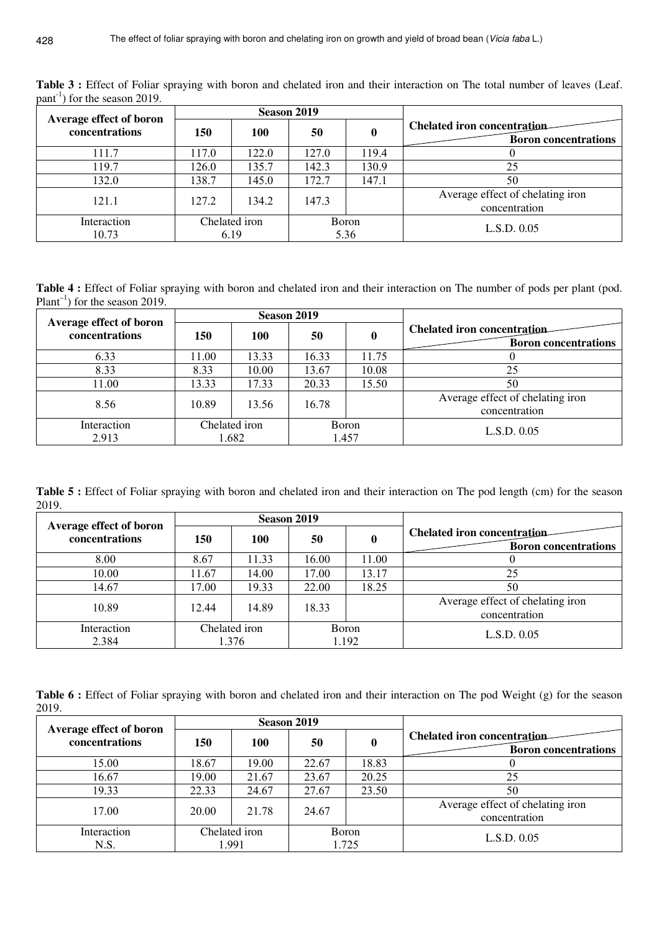| Average effect of boron |            |                       | Season 2019 |                      |                                                             |
|-------------------------|------------|-----------------------|-------------|----------------------|-------------------------------------------------------------|
| concentrations          | <b>150</b> | 100                   | 50          | $\bf{0}$             | Chelated iron concentration-<br><b>Boron</b> concentrations |
| 111.7                   | 117.0      | 122.0                 | 127.0       | 119.4                |                                                             |
| 119.7                   | 126.0      | 135.7                 | 142.3       | 130.9                | 25                                                          |
| 132.0                   | 138.7      | 145.0                 | 172.7       | 147.1                | 50                                                          |
| 121.1                   | 127.2      | 134.2                 | 147.3       |                      | Average effect of chelating iron<br>concentration           |
| Interaction<br>10.73    |            | Chelated iron<br>6.19 |             | <b>Boron</b><br>5.36 | L.S.D. 0.05                                                 |

Table 3 : Effect of Foliar spraying with boron and chelated iron and their interaction on The total number of leaves (Leaf.  $part<sup>-1</sup>$  for the season 2019.

**Table 4 :** Effect of Foliar spraying with boron and chelated iron and their interaction on The number of pods per plant (pod. Plant<sup>-1</sup>) for the season 2019.

| Average effect of boron |       |                        | Season 2019 |                        |                                                                   |
|-------------------------|-------|------------------------|-------------|------------------------|-------------------------------------------------------------------|
| concentrations          | 150   | 100                    | 50          | 0                      | <b>Chelated iron concentration</b><br><b>Boron</b> concentrations |
| 6.33                    | 11.00 | 13.33                  | 16.33       | 11.75                  |                                                                   |
| 8.33                    | 8.33  | 10.00                  | 13.67       | 10.08                  | 25                                                                |
| 11.00                   | 13.33 | 17.33                  | 20.33       | 15.50                  | 50                                                                |
| 8.56                    | 10.89 | 13.56                  | 16.78       |                        | Average effect of chelating iron<br>concentration                 |
| Interaction<br>2.913    |       | Chelated iron<br>1.682 |             | <b>B</b> oron<br>1.457 | L.S.D. 0.05                                                       |

**Table 5 :** Effect of Foliar spraying with boron and chelated iron and their interaction on The pod length (cm) for the season 2019.

|                                           |       |                        | Season 2019 |                        |                                                                   |
|-------------------------------------------|-------|------------------------|-------------|------------------------|-------------------------------------------------------------------|
| Average effect of boron<br>concentrations | 150   | 100                    | 50          | 0                      | <b>Chelated iron concentration</b><br><b>Boron concentrations</b> |
| 8.00                                      | 8.67  | 11.33                  | 16.00       | 11.00                  |                                                                   |
| 10.00                                     | 11.67 | 14.00                  | 17.00       | 13.17                  | 25                                                                |
| 14.67                                     | 17.00 | 19.33                  | 22.00       | 18.25                  | 50                                                                |
| 10.89                                     | 12.44 | 14.89                  | 18.33       |                        | Average effect of chelating iron<br>concentration                 |
| Interaction<br>2.384                      |       | Chelated iron<br>1.376 |             | <b>B</b> oron<br>1.192 | L.S.D. 0.05                                                       |

Table 6 : Effect of Foliar spraying with boron and chelated iron and their interaction on The pod Weight (g) for the season 2019.

| Average effect of boron |                        | Season 2019 |                        |       |                                                            |
|-------------------------|------------------------|-------------|------------------------|-------|------------------------------------------------------------|
| concentrations          | 150                    | 100         | 50                     | 0     | Chelated iron concentration<br><b>Boron</b> concentrations |
| 15.00                   | 18.67                  | 19.00       | 22.67                  | 18.83 |                                                            |
| 16.67                   | 19.00                  | 21.67       | 23.67                  | 20.25 | 25                                                         |
| 19.33                   | 22.33                  | 24.67       | 27.67                  | 23.50 | 50                                                         |
| 17.00                   | 20.00                  | 21.78       | 24.67                  |       | Average effect of chelating iron<br>concentration          |
| Interaction<br>N.S.     | Chelated iron<br>1.991 |             | <b>B</b> oron<br>1.725 |       | L.S.D. 0.05                                                |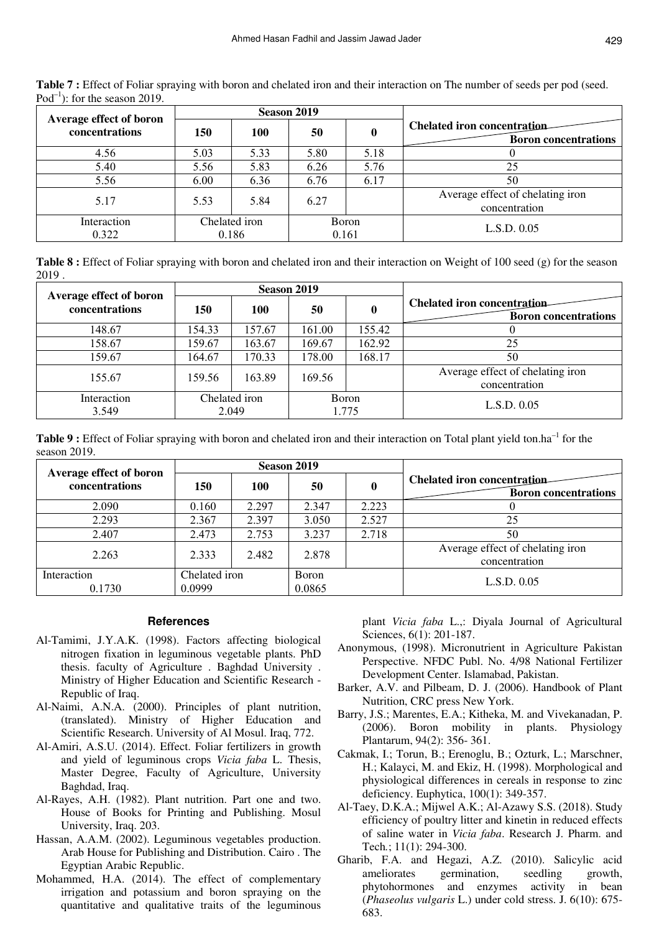| Average effect of boron |      |                        | Season 2019            |      |                                                                   |
|-------------------------|------|------------------------|------------------------|------|-------------------------------------------------------------------|
| concentrations          | 150  | 100                    | 50                     | 0    | <b>Chelated iron concentration</b><br><b>Boron</b> concentrations |
| 4.56                    | 5.03 | 5.33                   | 5.80                   | 5.18 |                                                                   |
| 5.40                    | 5.56 | 5.83                   | 6.26                   | 5.76 | 25                                                                |
| 5.56                    | 6.00 | 6.36                   | 6.76                   | 6.17 | 50                                                                |
| 5.17                    | 5.53 | 5.84                   | 6.27                   |      | Average effect of chelating iron<br>concentration                 |
| Interaction<br>0.322    |      | Chelated iron<br>0.186 | <b>B</b> oron<br>0.161 |      | L.S.D. 0.05                                                       |

**Table 7 :** Effect of Foliar spraying with boron and chelated iron and their interaction on The number of seeds per pod (seed. Pod<sup>-1</sup>): for the season 2019.

**Table 8 :** Effect of Foliar spraying with boron and chelated iron and their interaction on Weight of 100 seed (g) for the season 2019 .

| Average effect of boron |                        |                        | Season 2019 |          |                                                                   |
|-------------------------|------------------------|------------------------|-------------|----------|-------------------------------------------------------------------|
| concentrations          | 150                    | 100                    | 50          | $\bf{0}$ | <b>Chelated iron concentration</b><br><b>Boron</b> concentrations |
| 148.67                  | 154.33                 | 157.67                 | 161.00      | 155.42   |                                                                   |
| 158.67                  | 159.67                 | 163.67                 | 169.67      | 162.92   | 25                                                                |
| 159.67                  | 164.67                 | 170.33                 | 178.00      | 168.17   | 50                                                                |
| 155.67                  | 159.56                 | 163.89                 | 169.56      |          | Average effect of chelating iron<br>concentration                 |
| Interaction<br>3.549    | Chelated iron<br>2.049 | <b>B</b> oron<br>1.775 |             |          | L.S.D. 0.05                                                       |

**Table 9 :** Effect of Foliar spraying with boron and chelated iron and their interaction on Total plant yield ton.ha<sup>-1</sup> for the season 2019.

| Average effect of boron |                         |       | Season 2019     |       |                                                                   |
|-------------------------|-------------------------|-------|-----------------|-------|-------------------------------------------------------------------|
| concentrations          | 150                     | 100   | 50              | o     | <b>Chelated iron concentration</b><br><b>Boron</b> concentrations |
| 2.090                   | 0.160                   | 2.297 | 2.347           | 2.223 |                                                                   |
| 2.293                   | 2.367                   | 2.397 | 3.050           | 2.527 | 25                                                                |
| 2.407                   | 2.473                   | 2.753 | 3.237           | 2.718 | 50                                                                |
| 2.263                   | 2.333                   | 2.482 | 2.878           |       | Average effect of chelating iron<br>concentration                 |
| Interaction<br>0.1730   | Chelated iron<br>0.0999 |       | Boron<br>0.0865 |       | L.S.D. 0.05                                                       |

#### **References**

- Al-Tamimi, J.Y.A.K. (1998). Factors affecting biological nitrogen fixation in leguminous vegetable plants. PhD thesis. faculty of Agriculture . Baghdad University . Ministry of Higher Education and Scientific Research - Republic of Iraq.
- Al-Naimi, A.N.A. (2000). Principles of plant nutrition, (translated). Ministry of Higher Education and Scientific Research. University of Al Mosul. Iraq, 772.
- Al-Amiri, A.S.U. (2014). Effect. Foliar fertilizers in growth and yield of leguminous crops *Vicia faba* L. Thesis, Master Degree, Faculty of Agriculture, University Baghdad, Iraq.
- Al-Rayes, A.H. (1982). Plant nutrition. Part one and two. House of Books for Printing and Publishing. Mosul University, Iraq. 203.
- Hassan, A.A.M. (2002). Leguminous vegetables production. Arab House for Publishing and Distribution. Cairo . The Egyptian Arabic Republic.
- Mohammed, H.A. (2014). The effect of complementary irrigation and potassium and boron spraying on the quantitative and qualitative traits of the leguminous

plant *Vicia faba* L.,: Diyala Journal of Agricultural Sciences, 6(1): 201-187.

- Anonymous, (1998). Micronutrient in Agriculture Pakistan Perspective. NFDC Publ. No. 4/98 National Fertilizer Development Center. Islamabad, Pakistan.
- Barker, A.V. and Pilbeam, D. J. (2006). Handbook of Plant Nutrition, CRC press New York.
- Barry, J.S.; Marentes, E.A.; Kitheka, M. and Vivekanadan, P. (2006). Boron mobility in plants. Physiology Plantarum, 94(2): 356- 361.
- Cakmak, I.; Torun, B.; Erenoglu, B.; Ozturk, L.; Marschner, H.; Kalayci, M. and Ekiz, H. (1998). Morphological and physiological differences in cereals in response to zinc deficiency. Euphytica, 100(1): 349-357.
- Al-Taey, D.K.A.; Mijwel A.K.; Al-Azawy S.S. (2018). Study efficiency of poultry litter and kinetin in reduced effects of saline water in *Vicia faba*. Research J. Pharm. and Tech*.*; 11(1): 294-300.
- Gharib, F.A. and Hegazi, A.Z. (2010). Salicylic acid ameliorates germination, seedling growth, phytohormones and enzymes activity in bean (*Phaseolus vulgaris* L.) under cold stress. J. 6(10): 675- 683.